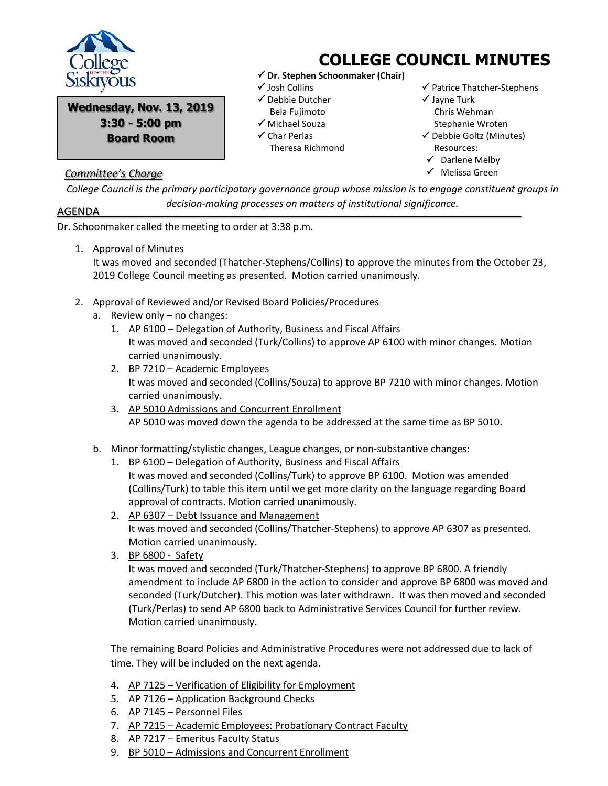

**Wednesday, Nov. 13, 2019 3:30 - 5:00 pm Board Room**

## *Committee's Charge*

## **COLLEGE COUNCIL MINUTES**

- **Dr. Stephen Schoonmaker (Chair)**
- Josh Collins
- $\checkmark$  Debbie Dutcher Bela Fujimoto
- $\checkmark$  Michael Souza
- Char Perlas
- Theresa Richmond
- $\checkmark$  Patrice Thatcher-Stephens
- $\checkmark$  Jayne Turk Chris Wehman Stephanie Wroten  $\checkmark$  Debbie Goltz (Minutes) Resources:
- $\checkmark$  Darlene Melby
- $\checkmark$  Melissa Green

*College Council is the primary participatory governance group whose mission is to engage constituent groups in decision-making processes on matters of institutional significance.*

## AGENDA

Dr. Schoonmaker called the meeting to order at 3:38 p.m.

1. Approval of Minutes

It was moved and seconded (Thatcher-Stephens/Collins) to approve the minutes from the October 23, 2019 College Council meeting as presented. Motion carried unanimously.

- 2. Approval of Reviewed and/or Revised Board Policies/Procedures
	- a. Review only no changes:
		- 1. AP 6100 Delegation of Authority, Business and Fiscal Affairs It was moved and seconded (Turk/Collins) to approve AP 6100 with minor changes. Motion carried unanimously.
		- 2. BP 7210 Academic Employees It was moved and seconded (Collins/Souza) to approve BP 7210 with minor changes. Motion carried unanimously.
		- 3. AP 5010 Admissions and Concurrent Enrollment AP 5010 was moved down the agenda to be addressed at the same time as BP 5010.
	- b. Minor formatting/stylistic changes, League changes, or non-substantive changes:
		- 1. BP 6100 Delegation of Authority, Business and Fiscal Affairs It was moved and seconded (Collins/Turk) to approve BP 6100. Motion was amended (Collins/Turk) to table this item until we get more clarity on the language regarding Board approval of contracts. Motion carried unanimously.
		- 2. AP 6307 Debt Issuance and Management It was moved and seconded (Collins/Thatcher-Stephens) to approve AP 6307 as presented. Motion carried unanimously.
		- 3. BP 6800 Safety

It was moved and seconded (Turk/Thatcher-Stephens) to approve BP 6800. A friendly amendment to include AP 6800 in the action to consider and approve BP 6800 was moved and seconded (Turk/Dutcher). This motion was later withdrawn. It was then moved and seconded (Turk/Perlas) to send AP 6800 back to Administrative Services Council for further review. Motion carried unanimously.

The remaining Board Policies and Administrative Procedures were not addressed due to lack of time. They will be included on the next agenda.

- 4. AP 7125 Verification of Eligibility for Employment
- 5. AP 7126 Application Background Checks
- 6. AP 7145 Personnel Files
- 7. AP 7215 Academic Employees: Probationary Contract Faculty
- 8. AP 7217 Emeritus Faculty Status
- 9. BP 5010 Admissions and Concurrent Enrollment